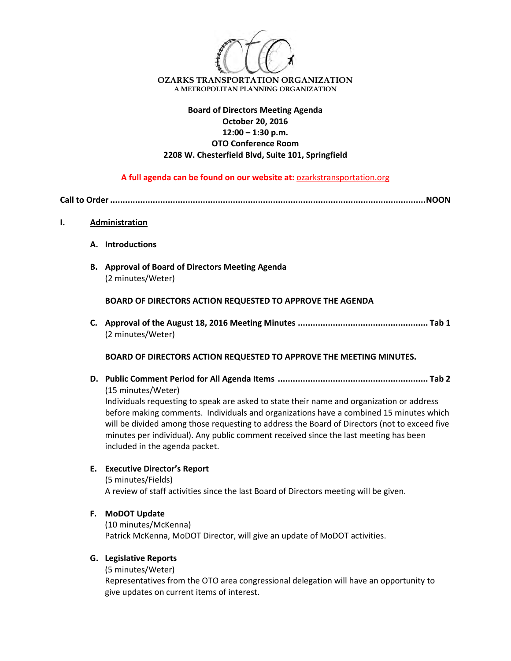

# **Board of Directors Meeting Agenda October 20, 2016 12:00 – 1:30 p.m. OTO Conference Room 2208 W. Chesterfield Blvd, Suite 101, Springfield**

**A full agenda can be found on our website at:** ozarkstransportation.org

**Call to Order..............................................................................................................................NOON**

#### **I. Administration**

- **A. Introductions**
- **B. Approval of Board of Directors Meeting Agenda** (2 minutes/Weter)

**BOARD OF DIRECTORS ACTION REQUESTED TO APPROVE THE AGENDA**

**C. Approval of the August 18, 2016 Meeting Minutes .................................................... Tab 1** (2 minutes/Weter)

**BOARD OF DIRECTORS ACTION REQUESTED TO APPROVE THE MEETING MINUTES.**

**D. Public Comment Period for All Agenda Items ............................................................ Tab 2** (15 minutes/Weter)

Individuals requesting to speak are asked to state their name and organization or address before making comments. Individuals and organizations have a combined 15 minutes which will be divided among those requesting to address the Board of Directors (not to exceed five minutes per individual). Any public comment received since the last meeting has been included in the agenda packet.

### **E. Executive Director's Report**

(5 minutes/Fields) A review of staff activities since the last Board of Directors meeting will be given.

### **F. MoDOT Update**

(10 minutes/McKenna) Patrick McKenna, MoDOT Director, will give an update of MoDOT activities.

### **G. Legislative Reports**

(5 minutes/Weter) Representatives from the OTO area congressional delegation will have an opportunity to give updates on current items of interest.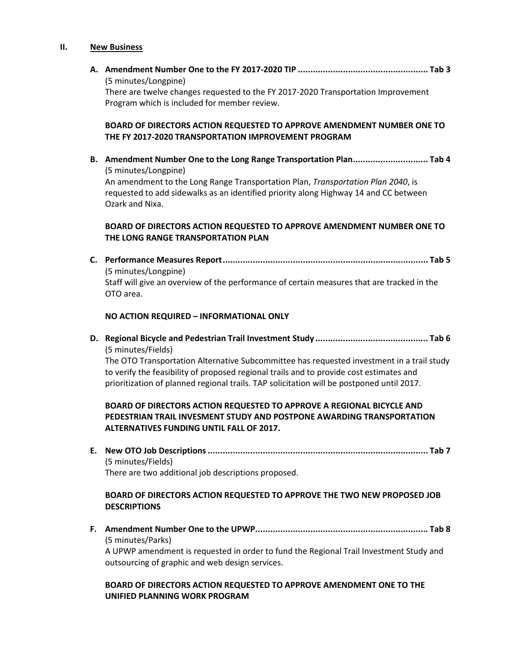#### **II. New Business**

**A. Amendment Number One to the FY 2017-2020 TIP .................................................... Tab 3**  (5 minutes/Longpine)

There are twelve changes requested to the FY 2017-2020 Transportation Improvement Program which is included for member review.

#### **BOARD OF DIRECTORS ACTION REQUESTED TO APPROVE AMENDMENT NUMBER ONE TO THE FY 2017-2020 TRANSPORTATION IMPROVEMENT PROGRAM**

**B. Amendment Number One to the Long Range Transportation Plan.............................. Tab 4**  (5 minutes/Longpine) An amendment to the Long Range Transportation Plan, *Transportation Plan 2040*, is requested to add sidewalks as an identified priority along Highway 14 and CC between Ozark and Nixa.

#### **BOARD OF DIRECTORS ACTION REQUESTED TO APPROVE AMENDMENT NUMBER ONE TO THE LONG RANGE TRANSPORTATION PLAN**

**C. Performance Measures Report.................................................................................. Tab 5**  (5 minutes/Longpine) Staff will give an overview of the performance of certain measures that are tracked in the OTO area.

#### **NO ACTION REQUIRED – INFORMATIONAL ONLY**

**D. Regional Bicycle and Pedestrian Trail Investment Study ............................................. Tab 6**  (5 minutes/Fields)

The OTO Transportation Alternative Subcommittee has requested investment in a trail study to verify the feasibility of proposed regional trails and to provide cost estimates and prioritization of planned regional trails. TAP solicitation will be postponed until 2017.

# **BOARD OF DIRECTORS ACTION REQUESTED TO APPROVE A REGIONAL BICYCLE AND PEDESTRIAN TRAIL INVESMENT STUDY AND POSTPONE AWARDING TRANSPORTATION ALTERNATIVES FUNDING UNTIL FALL OF 2017.**

**E. New OTO Job Descriptions........................................................................................ Tab 7**  (5 minutes/Fields)

There are two additional job descriptions proposed.

### **BOARD OF DIRECTORS ACTION REQUESTED TO APPROVE THE TWO NEW PROPOSED JOB DESCRIPTIONS**

**F. Amendment Number One to the UPWP..................................................................... Tab 8** (5 minutes/Parks)

A UPWP amendment is requested in order to fund the Regional Trail Investment Study and outsourcing of graphic and web design services.

### **BOARD OF DIRECTORS ACTION REQUESTED TO APPROVE AMENDMENT ONE TO THE UNIFIED PLANNING WORK PROGRAM**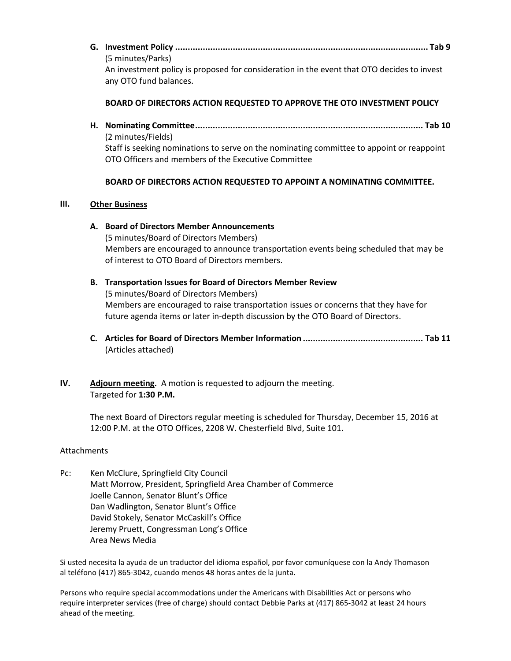**G. Investment Policy ..................................................................................................... Tab 9** (5 minutes/Parks) An investment policy is proposed for consideration in the event that OTO decides to invest any OTO fund balances.

## **BOARD OF DIRECTORS ACTION REQUESTED TO APPROVE THE OTO INVESTMENT POLICY**

**H. Nominating Committee........................................................................................... Tab 10** 

(2 minutes/Fields)

Staff is seeking nominations to serve on the nominating committee to appoint or reappoint OTO Officers and members of the Executive Committee

## **BOARD OF DIRECTORS ACTION REQUESTED TO APPOINT A NOMINATING COMMITTEE.**

### **III. Other Business**

## **A. Board of Directors Member Announcements**

(5 minutes/Board of Directors Members) Members are encouraged to announce transportation events being scheduled that may be of interest to OTO Board of Directors members.

# **B. Transportation Issues for Board of Directors Member Review**  (5 minutes/Board of Directors Members) Members are encouraged to raise transportation issues or concerns that they have for future agenda items or later in-depth discussion by the OTO Board of Directors.

**C. Articles for Board of Directors Member Information ................................................ Tab 11**  (Articles attached)

# **IV. Adjourn meeting.** A motion is requested to adjourn the meeting. Targeted for **1:30 P.M.**

The next Board of Directors regular meeting is scheduled for Thursday, December 15, 2016 at 12:00 P.M. at the OTO Offices, 2208 W. Chesterfield Blvd, Suite 101.

### Attachments

Pc: Ken McClure, Springfield City Council Matt Morrow, President, Springfield Area Chamber of Commerce Joelle Cannon, Senator Blunt's Office Dan Wadlington, Senator Blunt's Office David Stokely, Senator McCaskill's Office Jeremy Pruett, Congressman Long's Office Area News Media

Si usted necesita la ayuda de un traductor del idioma español, por favor comuníquese con la Andy Thomason al teléfono (417) 865-3042, cuando menos 48 horas antes de la junta.

Persons who require special accommodations under the Americans with Disabilities Act or persons who require interpreter services (free of charge) should contact Debbie Parks at (417) 865-3042 at least 24 hours ahead of the meeting.